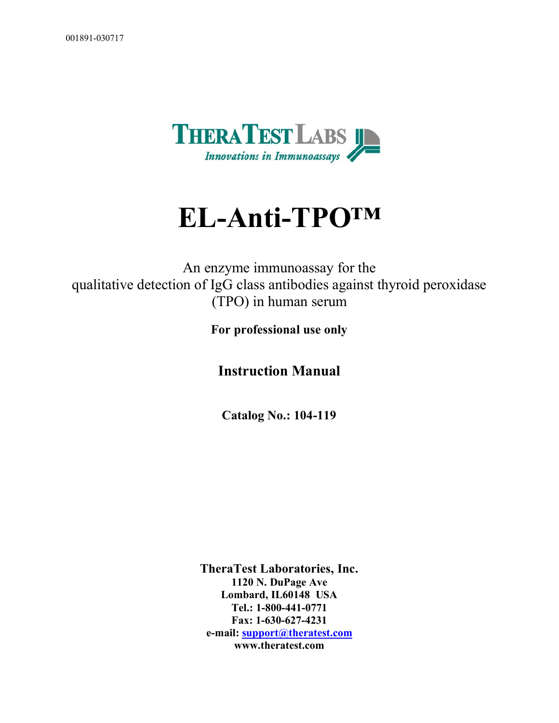

# **EL-Anti-TPO™**

An enzyme immunoassay for the qualitative detection of IgG class antibodies against thyroid peroxidase (TPO) in human serum

**For professional use only**

**Instruction Manual**

**Catalog No.: 104-119**

**TheraTest Laboratories, Inc. 1120 N. DuPage Ave Lombard, IL60148 USA Tel.: 1-800-441-0771 Fax: 1-630-627-4231 e-mail:** support@theratest.com **www.theratest.com**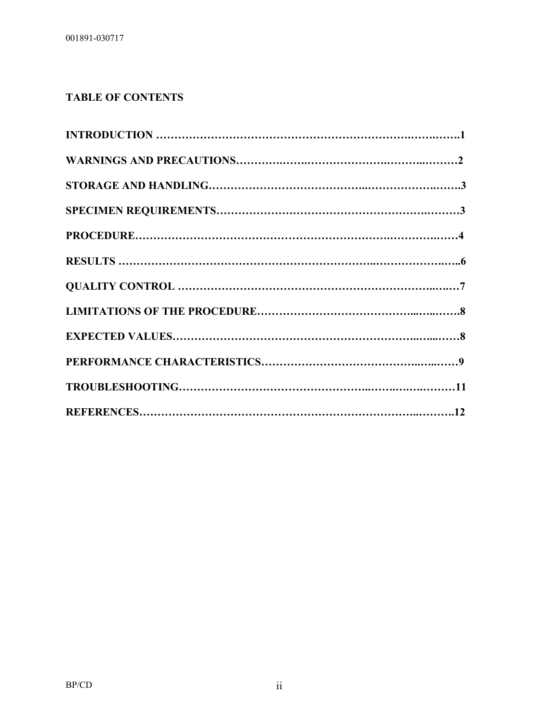## **TABLE OF CONTENTS**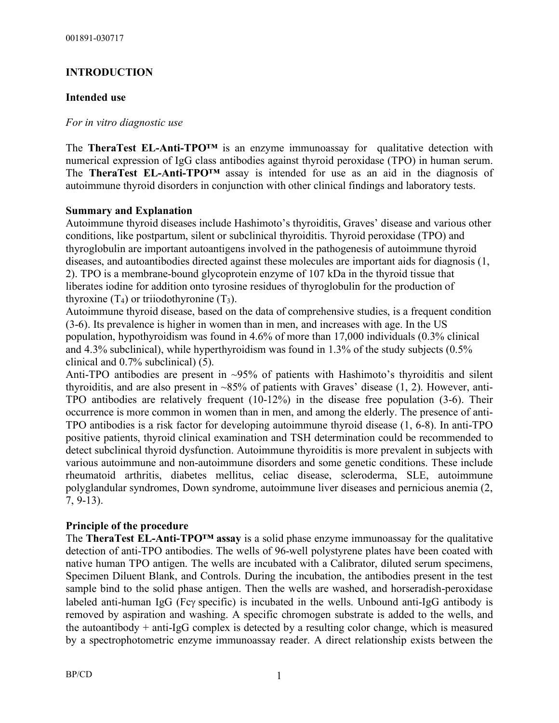## **INTRODUCTION**

## **Intended use**

#### *For in vitro diagnostic use*

The **TheraTest EL-Anti-TPO™** is an enzyme immunoassay for qualitative detection with numerical expression of IgG class antibodies against thyroid peroxidase (TPO) in human serum. The **TheraTest EL-Anti-TPO™** assay is intended for use as an aid in the diagnosis of autoimmune thyroid disorders in conjunction with other clinical findings and laboratory tests.

#### **Summary and Explanation**

Autoimmune thyroid diseases include Hashimoto's thyroiditis, Graves' disease and various other conditions, like postpartum, silent or subclinical thyroiditis. Thyroid peroxidase (TPO) and thyroglobulin are important autoantigens involved in the pathogenesis of autoimmune thyroid diseases, and autoantibodies directed against these molecules are important aids for diagnosis (1, 2). TPO is a membrane-bound glycoprotein enzyme of 107 kDa in the thyroid tissue that liberates iodine for addition onto tyrosine residues of thyroglobulin for the production of thyroxine  $(T_4)$  or triiodothyronine  $(T_3)$ .

Autoimmune thyroid disease, based on the data of comprehensive studies, is a frequent condition (3-6). Its prevalence is higher in women than in men, and increases with age. In the US population, hypothyroidism was found in 4.6% of more than 17,000 individuals (0.3% clinical and 4.3% subclinical), while hyperthyroidism was found in 1.3% of the study subjects (0.5% clinical and 0.7% subclinical) (5).

Anti-TPO antibodies are present in ~95% of patients with Hashimoto's thyroiditis and silent thyroiditis, and are also present in  $\sim 85\%$  of patients with Graves' disease (1, 2). However, anti-TPO antibodies are relatively frequent (10-12%) in the disease free population (3-6). Their occurrence is more common in women than in men, and among the elderly. The presence of anti-TPO antibodies is a risk factor for developing autoimmune thyroid disease (1, 6-8). In anti-TPO positive patients, thyroid clinical examination and TSH determination could be recommended to detect subclinical thyroid dysfunction. Autoimmune thyroiditis is more prevalent in subjects with various autoimmune and non-autoimmune disorders and some genetic conditions. These include rheumatoid arthritis, diabetes mellitus, celiac disease, scleroderma, SLE, autoimmune polyglandular syndromes, Down syndrome, autoimmune liver diseases and pernicious anemia (2, 7, 9-13).

#### **Principle of the procedure**

The **TheraTest EL-Anti-TPO™ assay** is a solid phase enzyme immunoassay for the qualitative detection of anti-TPO antibodies. The wells of 96-well polystyrene plates have been coated with native human TPO antigen. The wells are incubated with a Calibrator, diluted serum specimens, Specimen Diluent Blank, and Controls. During the incubation, the antibodies present in the test sample bind to the solid phase antigen. Then the wells are washed, and horseradish-peroxidase labeled anti-human IgG (Fc $\gamma$  specific) is incubated in the wells. Unbound anti-IgG antibody is removed by aspiration and washing. A specific chromogen substrate is added to the wells, and the autoantibody + anti-IgG complex is detected by a resulting color change, which is measured by a spectrophotometric enzyme immunoassay reader. A direct relationship exists between the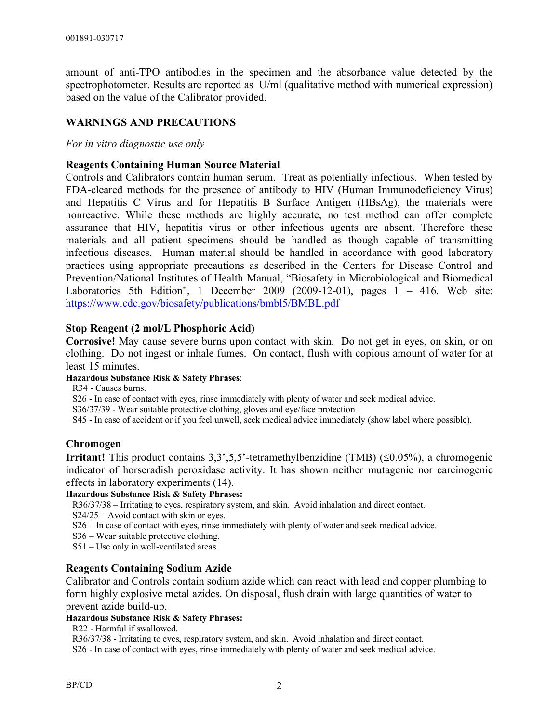amount of anti-TPO antibodies in the specimen and the absorbance value detected by the spectrophotometer. Results are reported as U/ml (qualitative method with numerical expression) based on the value of the Calibrator provided.

## **WARNINGS AND PRECAUTIONS**

*For in vitro diagnostic use only*

#### **Reagents Containing Human Source Material**

Controls and Calibrators contain human serum. Treat as potentially infectious.When tested by FDA-cleared methods for the presence of antibody to HIV (Human Immunodeficiency Virus) and Hepatitis C Virus and for Hepatitis B Surface Antigen (HBsAg), the materials were nonreactive. While these methods are highly accurate, no test method can offer complete assurance that HIV, hepatitis virus or other infectious agents are absent. Therefore these materials and all patient specimens should be handled as though capable of transmitting infectious diseases. Human material should be handled in accordance with good laboratory practices using appropriate precautions as described in the Centers for Disease Control and Prevention/National Institutes of Health Manual, "Biosafety in Microbiological and Biomedical Laboratories 5th Edition", 1 December 2009 (2009-12-01), pages 1 – 416. Web site: https://www.cdc.gov/biosafety/publications/bmbl5/BMBL.pdf

#### **Stop Reagent (2 mol/L Phosphoric Acid)**

**Corrosive!** May cause severe burns upon contact with skin. Do not get in eyes, on skin, or on clothing. Do not ingest or inhale fumes. On contact, flush with copious amount of water for at least 15 minutes.

#### **Hazardous Substance Risk & Safety Phrases**:

R34 - Causes burns.

S26 - In case of contact with eyes, rinse immediately with plenty of water and seek medical advice.

S36/37/39 - Wear suitable protective clothing, gloves and eye/face protection

S45 - In case of accident or if you feel unwell, seek medical advice immediately (show label where possible).

#### **Chromogen**

**Irritant!** This product contains  $3.3^{\circ}$ ,  $5.5^{\circ}$ -tetramethylbenzidine (TMB) ( $\leq 0.05\%$ ), a chromogenic indicator of horseradish peroxidase activity. It has shown neither mutagenic nor carcinogenic effects in laboratory experiments (14).

#### **Hazardous Substance Risk & Safety Phrases:**

R36/37/38 – Irritating to eyes, respiratory system, and skin. Avoid inhalation and direct contact.

S24/25 – Avoid contact with skin or eyes.

S26 – In case of contact with eyes, rinse immediately with plenty of water and seek medical advice.

S36 – Wear suitable protective clothing.

S51 – Use only in well-ventilated areas.

#### **Reagents Containing Sodium Azide**

Calibrator and Controls contain sodium azide which can react with lead and copper plumbing to form highly explosive metal azides. On disposal, flush drain with large quantities of water to prevent azide build-up.

#### **Hazardous Substance Risk & Safety Phrases:**

R22 - Harmful if swallowed.

R36/37/38 - Irritating to eyes, respiratory system, and skin. Avoid inhalation and direct contact.

S26 - In case of contact with eyes, rinse immediately with plenty of water and seek medical advice.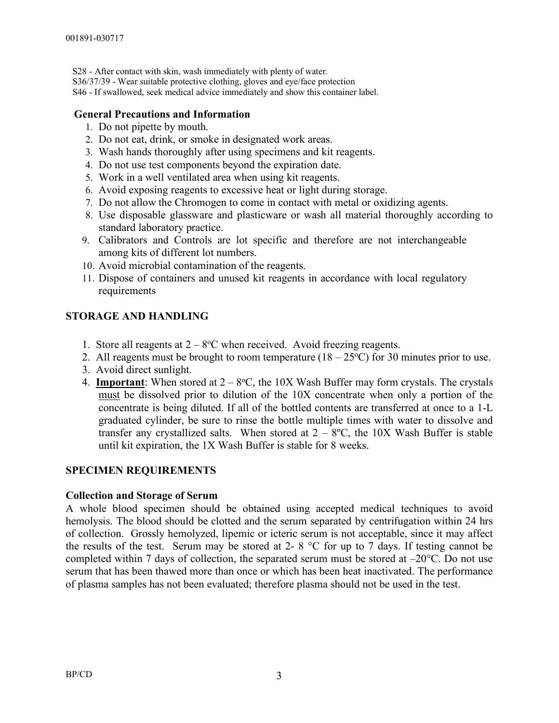S28 - After contact with skin, wash immediately with plenty of water.

- S36/37/39 Wear suitable protective clothing, gloves and eve/face protection
- S46 If swallowed, seek medical advice immediately and show this container label.

## **General Precautions and Information**

- 1. Do not pipette by mouth.
- 2. Do not eat, drink, or smoke in designated work areas.
- 3. Wash hands thoroughly after using specimens and kit reagents.
- 4. Do not use test components beyond the expiration date.
- 5. Work in a well ventilated area when using kit reagents.
- 6. Avoid exposing reagents to excessive heat or light during storage.
- 7. Do not allow the Chromogen to come in contact with metal or oxidizing agents.
- 8. Use disposable glassware and plasticware or wash all material thoroughly according to standard laboratory practice.
- 9. Calibrators and Controls are lot specific and therefore are not interchangeable among kits of different lot numbers.
- 10. Avoid microbial contamination of the reagents.
- 11. Dispose of containers and unused kit reagents in accordance with local regulatory requirements

## **STORAGE AND HANDLING**

- 1. Store all reagents at  $2 8$ °C when received. Avoid freezing reagents.
- 2. All reagents must be brought to room temperature  $(18 25^{\circ}C)$  for 30 minutes prior to use.
- 3. Avoid direct sunlight.
- 4. **Important**: When stored at  $2 8$ °C, the 10X Wash Buffer may form crystals. The crystals must be dissolved prior to dilution of the 10X concentrate when only a portion of the concentrate is being diluted. If all of the bottled contents are transferred at once to a 1-L graduated cylinder, be sure to rinse the bottle multiple times with water to dissolve and transfer any crystallized salts. When stored at  $2 - 8$ °C, the 10X Wash Buffer is stable until kit expiration, the 1X Wash Buffer is stable for 8 weeks.

## **SPECIMEN REQUIREMENTS**

## **Collection and Storage of Serum**

A whole blood specimen should be obtained using accepted medical techniques to avoid hemolysis. The blood should be clotted and the serum separated by centrifugation within 24 hrs of collection. Grossly hemolyzed, lipemic or icteric serum is not acceptable, since it may affect the results of the test. Serum may be stored at 2-  $8^{\circ}$ C for up to 7 days. If testing cannot be completed within 7 days of collection, the separated serum must be stored at  $-20^{\circ}$ C. Do not use serum that has been thawed more than once or which has been heat inactivated. The performance of plasma samples has not been evaluated; therefore plasma should not be used in the test.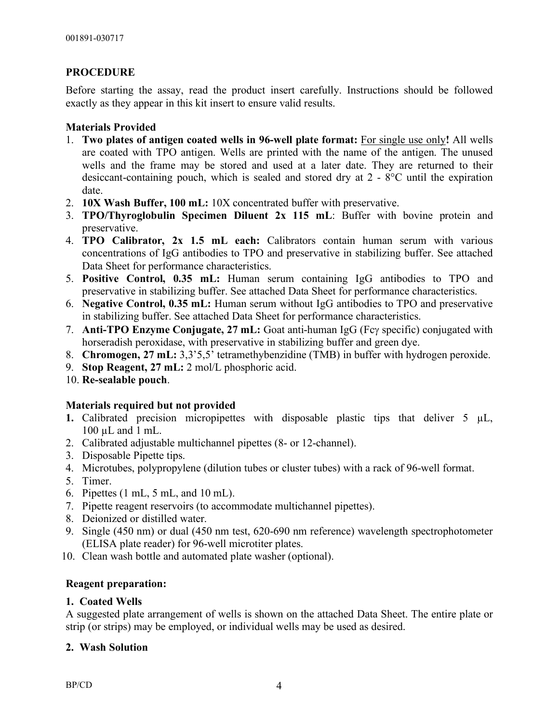## **PROCEDURE**

Before starting the assay, read the product insert carefully. Instructions should be followed exactly as they appear in this kit insert to ensure valid results.

## **Materials Provided**

- 1. **Two plates of antigen coated wells in 96-well plate format:** For single use only**!** All wells are coated with TPO antigen. Wells are printed with the name of the antigen. The unused wells and the frame may be stored and used at a later date. They are returned to their desiccant-containing pouch, which is sealed and stored dry at 2 - 8°C until the expiration date.
- 2. **10X Wash Buffer, 100 mL:** 10X concentrated buffer with preservative.
- 3. **TPO/Thyroglobulin Specimen Diluent 2x 115 mL**: Buffer with bovine protein and preservative.
- 4. **TPO Calibrator, 2x 1.5 mL each:** Calibrators contain human serum with various concentrations of IgG antibodies to TPO and preservative in stabilizing buffer. See attached Data Sheet for performance characteristics.
- 5. **Positive Control, 0.35 mL:** Human serum containing IgG antibodies to TPO and preservative in stabilizing buffer. See attached Data Sheet for performance characteristics.
- 6. **Negative Control, 0.35 mL:** Human serum without IgG antibodies to TPO and preservative in stabilizing buffer. See attached Data Sheet for performance characteristics.
- 7. **Anti-TPO Enzyme Conjugate, 27 mL:** Goat anti-human IgG (Fcg specific) conjugated with horseradish peroxidase, with preservative in stabilizing buffer and green dye.
- 8. **Chromogen, 27 mL:** 3,3'5,5' tetramethybenzidine (TMB) in buffer with hydrogen peroxide.
- 9. **Stop Reagent, 27 mL:** 2 mol/L phosphoric acid.
- 10. **Re-sealable pouch**.

## **Materials required but not provided**

- **1.** Calibrated precision micropipettes with disposable plastic tips that deliver 5  $\mu$ L, 100 µL and 1 mL.
- 2. Calibrated adjustable multichannel pipettes (8- or 12-channel).
- 3. Disposable Pipette tips.
- 4. Microtubes, polypropylene (dilution tubes or cluster tubes) with a rack of 96-well format.
- 5. Timer.
- 6. Pipettes (1 mL, 5 mL, and 10 mL).
- 7. Pipette reagent reservoirs (to accommodate multichannel pipettes).
- 8. Deionized or distilled water.
- 9. Single (450 nm) or dual (450 nm test, 620-690 nm reference) wavelength spectrophotometer (ELISA plate reader) for 96-well microtiter plates.
- 10. Clean wash bottle and automated plate washer (optional).

## **Reagent preparation:**

## **1. Coated Wells**

A suggested plate arrangement of wells is shown on the attached Data Sheet. The entire plate or strip (or strips) may be employed, or individual wells may be used as desired.

## **2. Wash Solution**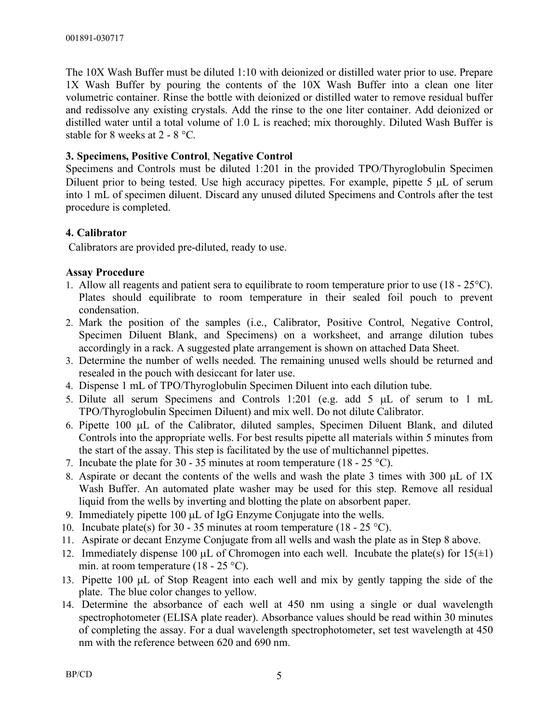The 10X Wash Buffer must be diluted 1:10 with deionized or distilled water prior to use. Prepare 1X Wash Buffer by pouring the contents of the 10X Wash Buffer into a clean one liter volumetric container. Rinse the bottle with deionized or distilled water to remove residual buffer and redissolve any existing crystals. Add the rinse to the one liter container. Add deionized or distilled water until a total volume of 1.0 L is reached; mix thoroughly. Diluted Wash Buffer is stable for 8 weeks at 2 - 8 °C.

## **3. Specimens, Positive Control**, **Negative Control**

Specimens and Controls must be diluted 1:201 in the provided TPO/Thyroglobulin Specimen Diluent prior to being tested. Use high accuracy pipettes. For example, pipette 5 µL of serum into 1 mL of specimen diluent. Discard any unused diluted Specimens and Controls after the test procedure is completed.

## **4. Calibrator**

Calibrators are provided pre-diluted, ready to use.

## **Assay Procedure**

- 1. Allow all reagents and patient sera to equilibrate to room temperature prior to use (18 25°C). Plates should equilibrate to room temperature in their sealed foil pouch to prevent condensation.
- 2. Mark the position of the samples (i.e., Calibrator, Positive Control, Negative Control, Specimen Diluent Blank, and Specimens) on a worksheet, and arrange dilution tubes accordingly in a rack. A suggested plate arrangement is shown on attached Data Sheet.
- 3. Determine the number of wells needed. The remaining unused wells should be returned and resealed in the pouch with desiccant for later use.
- 4. Dispense 1 mL of TPO/Thyroglobulin Specimen Diluent into each dilution tube.
- 5. Dilute all serum Specimens and Controls 1:201 (e.g. add 5 µL of serum to 1 mL TPO/Thyroglobulin Specimen Diluent) and mix well. Do not dilute Calibrator.
- 6. Pipette 100 µL of the Calibrator, diluted samples, Specimen Diluent Blank, and diluted Controls into the appropriate wells. For best results pipette all materials within 5 minutes from the start of the assay. This step is facilitated by the use of multichannel pipettes.
- 7. Incubate the plate for 30 35 minutes at room temperature  $(18 25 \degree C)$ .
- 8. Aspirate or decant the contents of the wells and wash the plate 3 times with 300 µL of 1X Wash Buffer. An automated plate washer may be used for this step. Remove all residual liquid from the wells by inverting and blotting the plate on absorbent paper.
- 9. Immediately pipette 100 µL of IgG Enzyme Conjugate into the wells.
- 10. Incubate plate(s) for 30 35 minutes at room temperature (18 25 °C).
- 11. Aspirate or decant Enzyme Conjugate from all wells and wash the plate as in Step 8 above.
- 12. Immediately dispense 100  $\mu$ L of Chromogen into each well. Incubate the plate(s) for 15( $\pm$ 1) min. at room temperature  $(18 - 25 \degree C)$ .
- 13. Pipette 100 µL of Stop Reagent into each well and mix by gently tapping the side of the plate. The blue color changes to yellow.
- 14. Determine the absorbance of each well at 450 nm using a single or dual wavelength spectrophotometer (ELISA plate reader). Absorbance values should be read within 30 minutes of completing the assay. For a dual wavelength spectrophotometer, set test wavelength at 450 nm with the reference between 620 and 690 nm.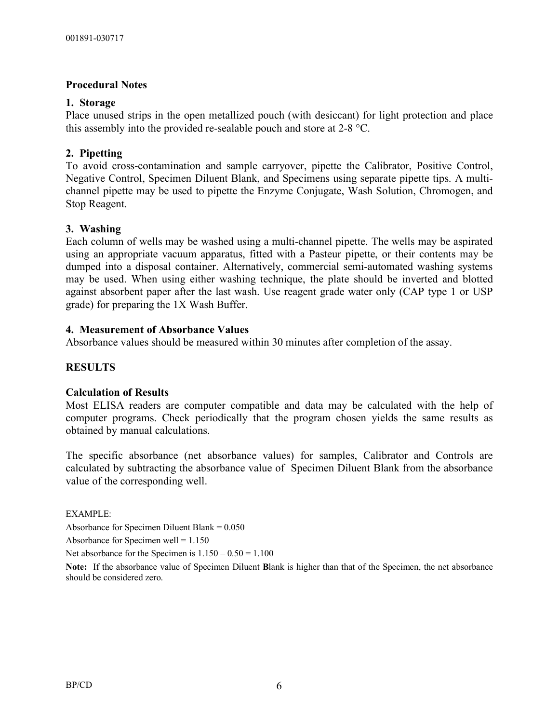#### **Procedural Notes**

#### **1. Storage**

Place unused strips in the open metallized pouch (with desiccant) for light protection and place this assembly into the provided re-sealable pouch and store at 2-8 °C.

#### **2. Pipetting**

To avoid cross-contamination and sample carryover, pipette the Calibrator, Positive Control, Negative Control, Specimen Diluent Blank, and Specimens using separate pipette tips. A multichannel pipette may be used to pipette the Enzyme Conjugate, Wash Solution, Chromogen, and Stop Reagent.

#### **3. Washing**

Each column of wells may be washed using a multi-channel pipette. The wells may be aspirated using an appropriate vacuum apparatus, fitted with a Pasteur pipette, or their contents may be dumped into a disposal container. Alternatively, commercial semi-automated washing systems may be used. When using either washing technique, the plate should be inverted and blotted against absorbent paper after the last wash. Use reagent grade water only (CAP type 1 or USP grade) for preparing the 1X Wash Buffer.

#### **4. Measurement of Absorbance Values**

Absorbance values should be measured within 30 minutes after completion of the assay.

#### **RESULTS**

#### **Calculation of Results**

Most ELISA readers are computer compatible and data may be calculated with the help of computer programs. Check periodically that the program chosen yields the same results as obtained by manual calculations.

The specific absorbance (net absorbance values) for samples, Calibrator and Controls are calculated by subtracting the absorbance value of Specimen Diluent Blank from the absorbance value of the corresponding well.

EXAMPLE:

Absorbance for Specimen Diluent Blank = 0.050

Absorbance for Specimen well  $= 1.150$ 

Net absorbance for the Specimen is  $1.150 - 0.50 = 1.100$ 

**Note:** If the absorbance value of Specimen Diluent **B**lank is higher than that of the Specimen, the net absorbance should be considered zero.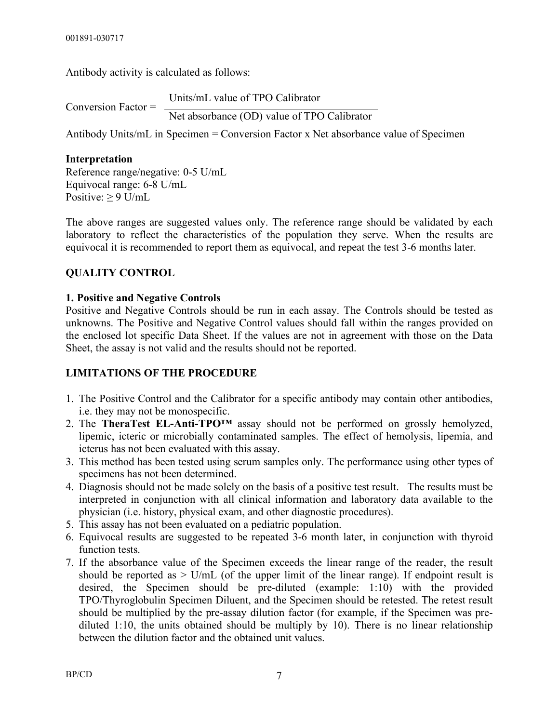Antibody activity is calculated as follows:

| Conversion Factor $=$ | Units/mL value of TPO Calibrator            |  |
|-----------------------|---------------------------------------------|--|
|                       | Net absorbance (OD) value of TPO Calibrator |  |

Antibody Units/mL in Specimen = Conversion Factor x Net absorbance value of Specimen

## **Interpretation**

Reference range/negative: 0-5 U/mL Equivocal range: 6-8 U/mL Positive:  $\geq 9$  U/mL

The above ranges are suggested values only. The reference range should be validated by each laboratory to reflect the characteristics of the population they serve. When the results are equivocal it is recommended to report them as equivocal, and repeat the test 3-6 months later.

## **QUALITY CONTROL**

## **1. Positive and Negative Controls**

Positive and Negative Controls should be run in each assay. The Controls should be tested as unknowns. The Positive and Negative Control values should fall within the ranges provided on the enclosed lot specific Data Sheet. If the values are not in agreement with those on the Data Sheet, the assay is not valid and the results should not be reported.

## **LIMITATIONS OF THE PROCEDURE**

- 1. The Positive Control and the Calibrator for a specific antibody may contain other antibodies, i.e. they may not be monospecific.
- 2. The **TheraTest EL-Anti-TPO™** assay should not be performed on grossly hemolyzed, lipemic, icteric or microbially contaminated samples. The effect of hemolysis, lipemia, and icterus has not been evaluated with this assay.
- 3. This method has been tested using serum samples only. The performance using other types of specimens has not been determined.
- 4. Diagnosis should not be made solely on the basis of a positive test result. The results must be interpreted in conjunction with all clinical information and laboratory data available to the physician (i.e. history, physical exam, and other diagnostic procedures).
- 5. This assay has not been evaluated on a pediatric population.
- 6. Equivocal results are suggested to be repeated 3-6 month later, in conjunction with thyroid function tests.
- 7. If the absorbance value of the Specimen exceeds the linear range of the reader, the result should be reported as  $>$  U/mL (of the upper limit of the linear range). If endpoint result is desired, the Specimen should be pre-diluted (example: 1:10) with the provided TPO/Thyroglobulin Specimen Diluent, and the Specimen should be retested. The retest result should be multiplied by the pre-assay dilution factor (for example, if the Specimen was prediluted 1:10, the units obtained should be multiply by 10). There is no linear relationship between the dilution factor and the obtained unit values.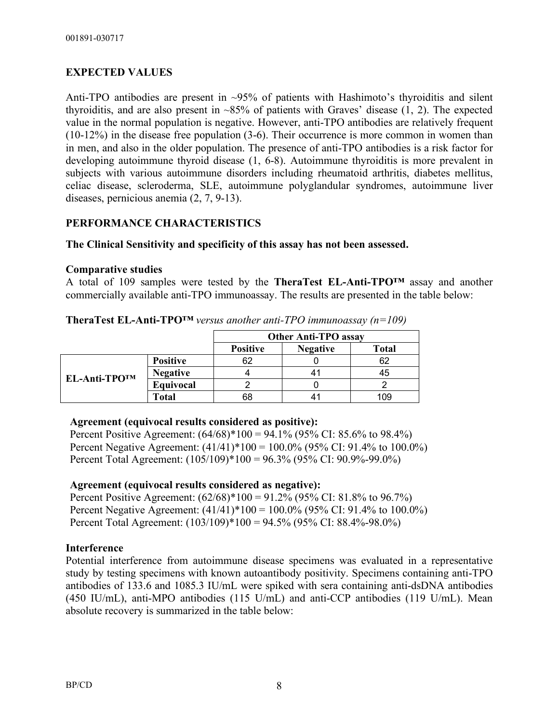## **EXPECTED VALUES**

Anti-TPO antibodies are present in ~95% of patients with Hashimoto's thyroiditis and silent thyroiditis, and are also present in  $\sim 85\%$  of patients with Graves' disease (1, 2). The expected value in the normal population is negative. However, anti-TPO antibodies are relatively frequent (10-12%) in the disease free population (3-6). Their occurrence is more common in women than in men, and also in the older population. The presence of anti-TPO antibodies is a risk factor for developing autoimmune thyroid disease (1, 6-8). Autoimmune thyroiditis is more prevalent in subjects with various autoimmune disorders including rheumatoid arthritis, diabetes mellitus, celiac disease, scleroderma, SLE, autoimmune polyglandular syndromes, autoimmune liver diseases, pernicious anemia (2, 7, 9-13).

## **PERFORMANCE CHARACTERISTICS**

## **The Clinical Sensitivity and specificity of this assay has not been assessed.**

## **Comparative studies**

A total of 109 samples were tested by the **TheraTest EL-Anti-TPO™** assay and another commercially available anti-TPO immunoassay. The results are presented in the table below:

|                     |                 | <b>Other Anti-TPO assay</b> |                 |              |
|---------------------|-----------------|-----------------------------|-----------------|--------------|
|                     |                 | <b>Positive</b>             | <b>Negative</b> | <b>Total</b> |
| <b>EL-Anti-TPO™</b> | <b>Positive</b> |                             |                 |              |
|                     | <b>Negative</b> |                             |                 | ג4           |
|                     | Equivocal       |                             |                 |              |
|                     | Total           |                             |                 | 09           |

**TheraTest EL-Anti-TPO™** *versus another anti-TPO immunoassay (n=109)*

#### **Agreement (equivocal results considered as positive):**

Percent Positive Agreement: (64/68)\*100 = 94.1% (95% CI: 85.6% to 98.4%) Percent Negative Agreement: (41/41)\*100 = 100.0% (95% CI: 91.4% to 100.0%) Percent Total Agreement: (105/109)\*100 = 96.3% (95% CI: 90.9%-99.0%)

## **Agreement (equivocal results considered as negative):**

Percent Positive Agreement: (62/68)\*100 = 91.2% (95% CI: 81.8% to 96.7%) Percent Negative Agreement:  $(41/41)^*100 = 100.0\%$  (95% CI: 91.4% to 100.0%) Percent Total Agreement: (103/109)\*100 = 94.5% (95% CI: 88.4%-98.0%)

## **Interference**

Potential interference from autoimmune disease specimens was evaluated in a representative study by testing specimens with known autoantibody positivity. Specimens containing anti-TPO antibodies of 133.6 and 1085.3 IU/mL were spiked with sera containing anti-dsDNA antibodies (450 IU/mL), anti-MPO antibodies (115 U/mL) and anti-CCP antibodies (119 U/mL). Mean absolute recovery is summarized in the table below: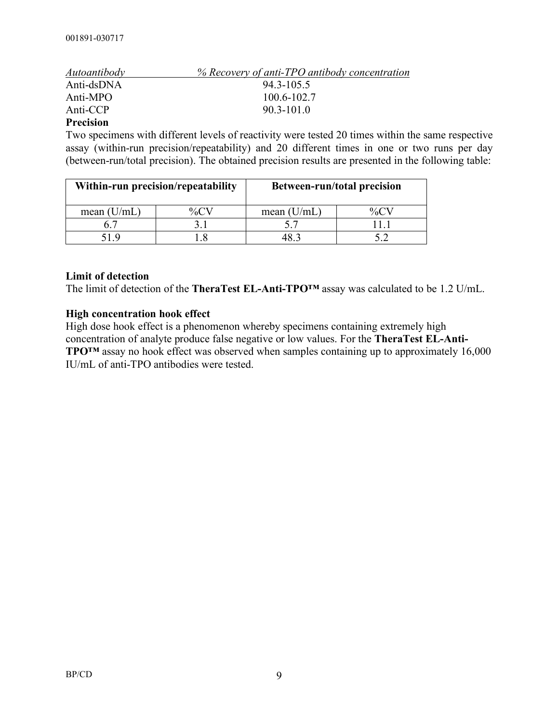| Autoantibody | % Recovery of anti-TPO antibody concentration |
|--------------|-----------------------------------------------|
| Anti-dsDNA   | $943 - 1055$                                  |
| Anti-MPO     | 100.6-102.7                                   |
| Anti-CCP     | $903 - 1010$                                  |

#### **Precision**

Two specimens with different levels of reactivity were tested 20 times within the same respective assay (within-run precision/repeatability) and 20 different times in one or two runs per day (between-run/total precision). The obtained precision results are presented in the following table:

| Within-run precision/repeatability |  |               | <b>Between-run/total precision</b> |
|------------------------------------|--|---------------|------------------------------------|
| mean $(U/mL)$                      |  | mean $(U/mL)$ |                                    |
|                                    |  |               |                                    |
| 51 Q                               |  |               |                                    |

#### **Limit of detection**

The limit of detection of the **TheraTest EL-Anti-TPO™** assay was calculated to be 1.2 U/mL.

#### **High concentration hook effect**

High dose hook effect is a phenomenon whereby specimens containing extremely high concentration of analyte produce false negative or low values. For the **TheraTest EL-Anti-TPO™** assay no hook effect was observed when samples containing up to approximately 16,000 IU/mL of anti-TPO antibodies were tested.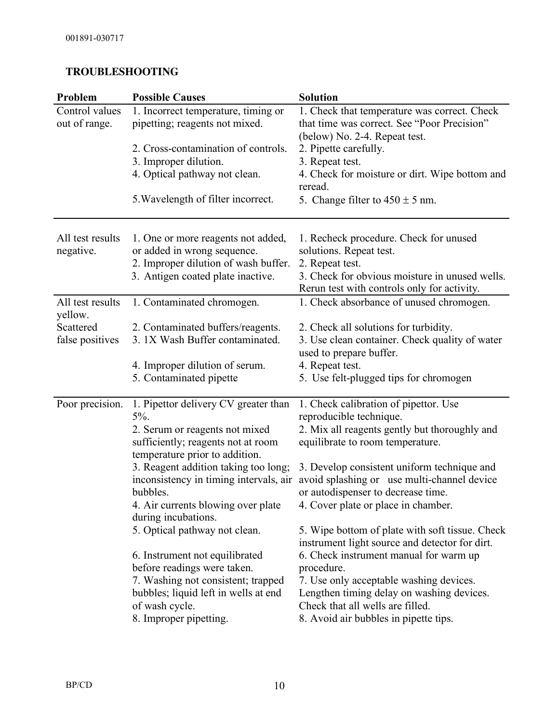## **TROUBLESHOOTING**

| Problem                         | <b>Possible Causes</b>                                                                                                                                                                                                   | <b>Solution</b>                                                                                                                                                                                                                                                                                                                |
|---------------------------------|--------------------------------------------------------------------------------------------------------------------------------------------------------------------------------------------------------------------------|--------------------------------------------------------------------------------------------------------------------------------------------------------------------------------------------------------------------------------------------------------------------------------------------------------------------------------|
| Control values<br>out of range. | 1. Incorrect temperature, timing or<br>pipetting; reagents not mixed.                                                                                                                                                    | 1. Check that temperature was correct. Check<br>that time was correct. See "Poor Precision"<br>(below) No. 2-4. Repeat test.                                                                                                                                                                                                   |
|                                 | 2. Cross-contamination of controls.<br>3. Improper dilution.                                                                                                                                                             | 2. Pipette carefully.<br>3. Repeat test.                                                                                                                                                                                                                                                                                       |
|                                 | 4. Optical pathway not clean.                                                                                                                                                                                            | 4. Check for moisture or dirt. Wipe bottom and<br>reread.                                                                                                                                                                                                                                                                      |
|                                 | 5. Wavelength of filter incorrect.                                                                                                                                                                                       | 5. Change filter to $450 \pm 5$ nm.                                                                                                                                                                                                                                                                                            |
| All test results<br>negative.   | 1. One or more reagents not added,<br>or added in wrong sequence.<br>2. Improper dilution of wash buffer.<br>3. Antigen coated plate inactive.                                                                           | 1. Recheck procedure. Check for unused<br>solutions. Repeat test.<br>2. Repeat test.<br>3. Check for obvious moisture in unused wells.<br>Rerun test with controls only for activity.                                                                                                                                          |
| All test results<br>yellow.     | 1. Contaminated chromogen.                                                                                                                                                                                               | 1. Check absorbance of unused chromogen.                                                                                                                                                                                                                                                                                       |
| Scattered<br>false positives    | 2. Contaminated buffers/reagents.<br>3. 1X Wash Buffer contaminated.                                                                                                                                                     | 2. Check all solutions for turbidity.<br>3. Use clean container. Check quality of water<br>used to prepare buffer.                                                                                                                                                                                                             |
|                                 | 4. Improper dilution of serum.<br>5. Contaminated pipette                                                                                                                                                                | 4. Repeat test.<br>5. Use felt-plugged tips for chromogen                                                                                                                                                                                                                                                                      |
| Poor precision.                 | 1. Pipettor delivery CV greater than<br>$5\%$ .<br>2. Serum or reagents not mixed<br>sufficiently; reagents not at room                                                                                                  | 1. Check calibration of pipettor. Use<br>reproducible technique.<br>2. Mix all reagents gently but thoroughly and<br>equilibrate to room temperature.                                                                                                                                                                          |
|                                 | temperature prior to addition.<br>3. Reagent addition taking too long;<br>inconsistency in timing intervals, air<br>bubbles.<br>4. Air currents blowing over plate<br>during incubations.                                | 3. Develop consistent uniform technique and<br>avoid splashing or use multi-channel device<br>or autodispenser to decrease time.<br>4. Cover plate or place in chamber.                                                                                                                                                        |
|                                 | 5. Optical pathway not clean.<br>6. Instrument not equilibrated<br>before readings were taken.<br>7. Washing not consistent; trapped<br>bubbles; liquid left in wells at end<br>of wash cycle.<br>8. Improper pipetting. | 5. Wipe bottom of plate with soft tissue. Check<br>instrument light source and detector for dirt.<br>6. Check instrument manual for warm up<br>procedure.<br>7. Use only acceptable washing devices.<br>Lengthen timing delay on washing devices.<br>Check that all wells are filled.<br>8. Avoid air bubbles in pipette tips. |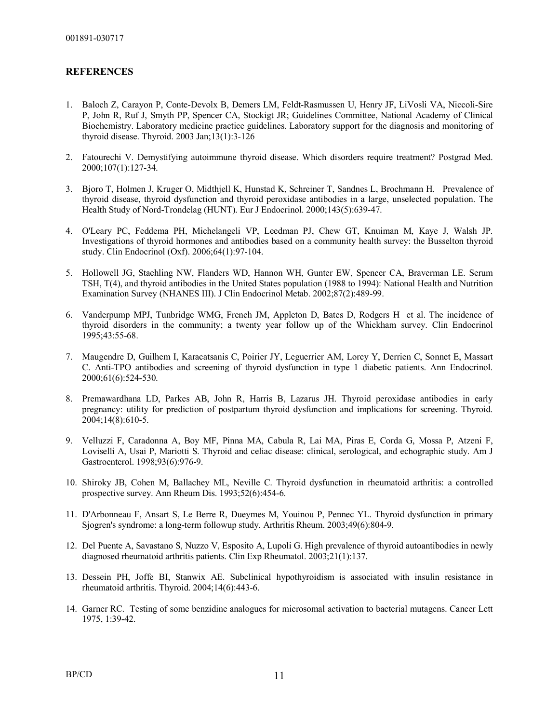#### **REFERENCES**

- 1. Baloch Z, Carayon P, Conte-Devolx B, Demers LM, Feldt-Rasmussen U, Henry JF, LiVosli VA, Niccoli-Sire P, John R, Ruf J, Smyth PP, Spencer CA, Stockigt JR; Guidelines Committee, National Academy of Clinical Biochemistry. Laboratory medicine practice guidelines. Laboratory support for the diagnosis and monitoring of thyroid disease. Thyroid. 2003 Jan;13(1):3-126
- 2. Fatourechi V. Demystifying autoimmune thyroid disease. Which disorders require treatment? Postgrad Med. 2000;107(1):127-34.
- 3. Bjoro T, Holmen J, Kruger O, Midthjell K, Hunstad K, Schreiner T, Sandnes L, Brochmann H. Prevalence of thyroid disease, thyroid dysfunction and thyroid peroxidase antibodies in a large, unselected population. The Health Study of Nord-Trondelag (HUNT). Eur J Endocrinol. 2000;143(5):639-47.
- 4. O'Leary PC, Feddema PH, Michelangeli VP, Leedman PJ, Chew GT, Knuiman M, Kaye J, Walsh JP. Investigations of thyroid hormones and antibodies based on a community health survey: the Busselton thyroid study. Clin Endocrinol (Oxf). 2006;64(1):97-104.
- 5. Hollowell JG, Staehling NW, Flanders WD, Hannon WH, Gunter EW, Spencer CA, Braverman LE. Serum TSH, T(4), and thyroid antibodies in the United States population (1988 to 1994): National Health and Nutrition Examination Survey (NHANES III). J Clin Endocrinol Metab. 2002;87(2):489-99.
- 6. Vanderpump MPJ, Tunbridge WMG, French JM, Appleton D, Bates D, Rodgers H et al. The incidence of thyroid disorders in the community; a twenty year follow up of the Whickham survey. Clin Endocrinol 1995;43:55-68.
- 7. Maugendre D, Guilhem I, Karacatsanis C, Poirier JY, Leguerrier AM, Lorcy Y, Derrien C, Sonnet E, Massart C. Anti-TPO antibodies and screening of thyroid dysfunction in type 1 diabetic patients. Ann Endocrinol. 2000;61(6):524-530.
- 8. Premawardhana LD, Parkes AB, John R, Harris B, Lazarus JH. Thyroid peroxidase antibodies in early pregnancy: utility for prediction of postpartum thyroid dysfunction and implications for screening. Thyroid. 2004;14(8):610-5.
- 9. Velluzzi F, Caradonna A, Boy MF, Pinna MA, Cabula R, Lai MA, Piras E, Corda G, Mossa P, Atzeni F, Loviselli A, Usai P, Mariotti S. Thyroid and celiac disease: clinical, serological, and echographic study. Am J Gastroenterol. 1998;93(6):976-9.
- 10. Shiroky JB, Cohen M, Ballachey ML, Neville C. Thyroid dysfunction in rheumatoid arthritis: a controlled prospective survey. Ann Rheum Dis. 1993;52(6):454-6.
- 11. D'Arbonneau F, Ansart S, Le Berre R, Dueymes M, Youinou P, Pennec YL. Thyroid dysfunction in primary Sjogren's syndrome: a long-term followup study. Arthritis Rheum. 2003;49(6):804-9.
- 12. Del Puente A, Savastano S, Nuzzo V, Esposito A, Lupoli G. High prevalence of thyroid autoantibodies in newly diagnosed rheumatoid arthritis patients. Clin Exp Rheumatol. 2003;21(1):137.
- 13. Dessein PH, Joffe BI, Stanwix AE. Subclinical hypothyroidism is associated with insulin resistance in rheumatoid arthritis. Thyroid. 2004;14(6):443-6.
- 14. Garner RC. Testing of some benzidine analogues for microsomal activation to bacterial mutagens. Cancer Lett 1975, 1:39-42.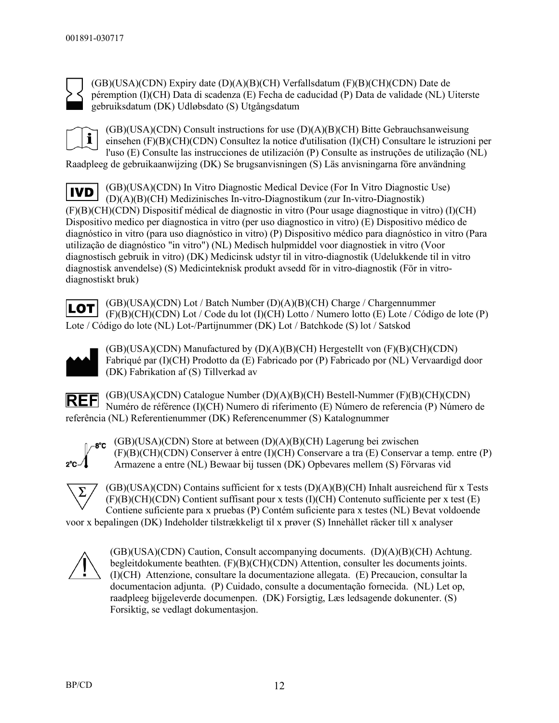

(GB)(USA)(CDN) Expiry date (D)(A)(B)(CH) Verfallsdatum (F)(B)(CH)(CDN) Date de péremption (I)(CH) Data di scadenza (E) Fecha de caducidad (P) Data de validade (NL) Uiterste gebruiksdatum (DK) Udløbsdato (S) Utgångsdatum

i

(GB)(USA)(CDN) Consult instructions for use (D)(A)(B)(CH) Bitte Gebrauchsanweisung einsehen (F)(B)(CH)(CDN) Consultez la notice d'utilisation (I)(CH) Consultare le istruzioni per l'uso (E) Consulte las instrucciones de utilización (P) Consulte as instruções de utilização (NL) Raadpleeg de gebruikaanwijzing (DK) Se brugsanvisningen (S) Läs anvisningarna före användning

(GB)(USA)(CDN) In Vitro Diagnostic Medical Device (For In Vitro Diagnostic Use) **IVD** (D)(A)(B)(CH) Medizinisches In-vitro-Diagnostikum (zur In-vitro-Diagnostik) (F)(B)(CH)(CDN) Dispositif médical de diagnostic in vitro (Pour usage diagnostique in vitro) (I)(CH) Dispositivo medico per diagnostica in vitro (per uso diagnostico in vitro) (E) Dispositivo médico de diagnóstico in vitro (para uso diagnóstico in vitro) (P) Dispositivo médico para diagnóstico in vitro (Para utilização de diagnóstico "in vitro") (NL) Medisch hulpmiddel voor diagnostiek in vitro (Voor diagnostisch gebruik in vitro) (DK) Medicinsk udstyr til in vitro-diagnostik (Udelukkende til in vitro diagnostisk anvendelse) (S) Medicinteknisk produkt avsedd för in vitro-diagnostik (För in vitrodiagnostiskt bruk)

(GB)(USA)(CDN) Lot / Batch Number (D)(A)(B)(CH) Charge / Chargennummer **LOT** (F)(B)(CH)(CDN) Lot / Code du lot (I)(CH) Lotto / Numero lotto (E) Lote / Código de lote (P) Lote / Código do lote (NL) Lot-/Partijnummer (DK) Lot / Batchkode (S) lot / Satskod



(GB)(USA)(CDN) Manufactured by (D)(A)(B)(CH) Hergestellt von (F)(B)(CH)(CDN) Fabriqué par (I)(CH) Prodotto da (E) Fabricado por (P) Fabricado por (NL) Vervaardigd door (DK) Fabrikation af (S) Tillverkad av

(GB)(USA)(CDN) Catalogue Number (D)(A)(B)(CH) Bestell-Nummer (F)(B)(CH)(CDN) **REF** Numéro de référence (I)(CH) Numero di riferimento (E) Número de referencia (P) Número de referência (NL) Referentienummer (DK) Referencenummer (S) Katalognummer



(GB)(USA)(CDN) Store at between (D)(A)(B)(CH) Lagerung bei zwischen (F)(B)(CH)(CDN) Conserver à entre (I)(CH) Conservare a tra (E) Conservar a temp. entre (P) Armazene a entre (NL) Bewaar bij tussen (DK) Opbevares mellem (S) Förvaras vid



(GB)(USA)(CDN) Contains sufficient for x tests (D)(A)(B)(CH) Inhalt ausreichend für x Tests (F)(B)(CH)(CDN) Contient suffisant pour x tests (I)(CH) Contenuto sufficiente per x test (E) Contiene suficiente para x pruebas (P) Contém suficiente para x testes (NL) Bevat voldoende voor x bepalingen (DK) Indeholder tilstrækkeligt til x prøver (S) Innehàllet räcker till x analyser

(GB)(USA)(CDN) Caution, Consult accompanying documents. (D)(A)(B)(CH) Achtung. begleitdokumente beathten. (F)(B)(CH)(CDN) Attention, consulter les documents joints. (I)(CH) Attenzione, consultare la documentazione allegata. (E) Precaucion, consultar la documentacion adjunta. (P) Cuidado, consulte a documentação fornecida. (NL) Let op, raadpleeg bijgeleverde documenpen. (DK) Forsigtig, Læs ledsagende dokunenter. (S) Forsiktig, se vedlagt dokumentasjon.